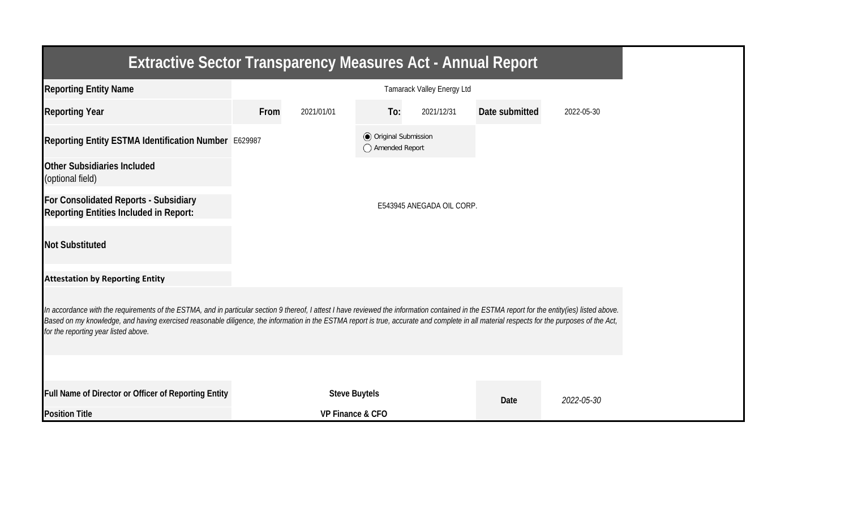| <b>Extractive Sector Transparency Measures Act - Annual Report</b>                                                                                                                                                                                                                                                                                                                                                                    |      |                      |                                                  |                            |                |            |
|---------------------------------------------------------------------------------------------------------------------------------------------------------------------------------------------------------------------------------------------------------------------------------------------------------------------------------------------------------------------------------------------------------------------------------------|------|----------------------|--------------------------------------------------|----------------------------|----------------|------------|
| <b>Reporting Entity Name</b>                                                                                                                                                                                                                                                                                                                                                                                                          |      |                      |                                                  | Tamarack Valley Energy Ltd |                |            |
| <b>Reporting Year</b>                                                                                                                                                                                                                                                                                                                                                                                                                 | From | 2021/01/01           | To:                                              | 2021/12/31                 | Date submitted | 2022-05-30 |
| Reporting Entity ESTMA Identification Number E629987                                                                                                                                                                                                                                                                                                                                                                                  |      |                      | <b>◎</b> Original Submission<br>◯ Amended Report |                            |                |            |
| <b>Other Subsidiaries Included</b><br>(optional field)                                                                                                                                                                                                                                                                                                                                                                                |      |                      |                                                  |                            |                |            |
| For Consolidated Reports - Subsidiary<br><b>Reporting Entities Included in Report:</b>                                                                                                                                                                                                                                                                                                                                                |      |                      |                                                  | E543945 ANEGADA OIL CORP.  |                |            |
| <b>Not Substituted</b>                                                                                                                                                                                                                                                                                                                                                                                                                |      |                      |                                                  |                            |                |            |
| <b>Attestation by Reporting Entity</b>                                                                                                                                                                                                                                                                                                                                                                                                |      |                      |                                                  |                            |                |            |
| In accordance with the requirements of the ESTMA, and in particular section 9 thereof, I attest I have reviewed the information contained in the ESTMA report for the entity(ies) listed above.<br>Based on my knowledge, and having exercised reasonable diligence, the information in the ESTMA report is true, accurate and complete in all material respects for the purposes of the Act,<br>for the reporting year listed above. |      |                      |                                                  |                            |                |            |
|                                                                                                                                                                                                                                                                                                                                                                                                                                       |      |                      |                                                  |                            |                |            |
| Full Name of Director or Officer of Reporting Entity                                                                                                                                                                                                                                                                                                                                                                                  |      | <b>Steve Buytels</b> |                                                  |                            | Date           | 2022-05-30 |
| <b>Position Title</b>                                                                                                                                                                                                                                                                                                                                                                                                                 |      | VP Finance & CFO     |                                                  |                            |                |            |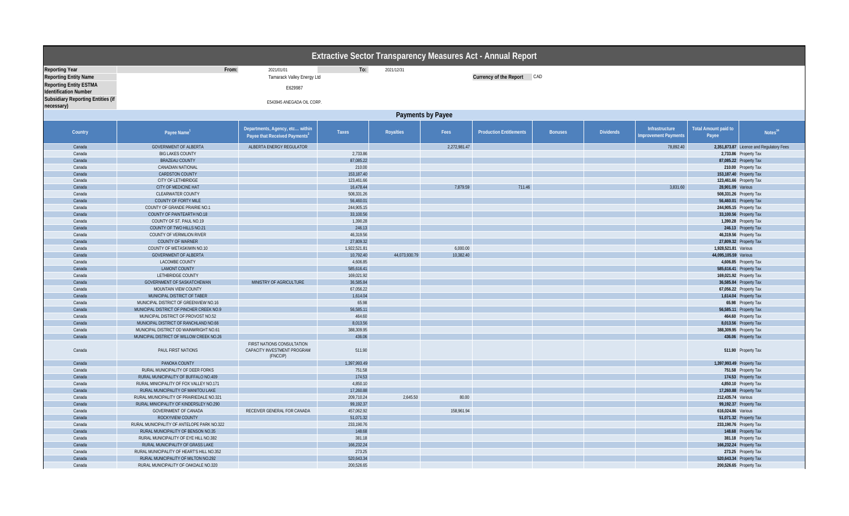|                                                               |                                            |                                                                              |              |               |                   | Extractive Sector Transparency Measures Act - Annual Report |                |                  |                                               |                                      |                                          |
|---------------------------------------------------------------|--------------------------------------------|------------------------------------------------------------------------------|--------------|---------------|-------------------|-------------------------------------------------------------|----------------|------------------|-----------------------------------------------|--------------------------------------|------------------------------------------|
| <b>Reporting Year</b>                                         | From:                                      | 2021/01/01                                                                   | To:          | 2021/12/31    |                   |                                                             |                |                  |                                               |                                      |                                          |
| <b>Reporting Entity Name</b>                                  |                                            | Tamarack Valley Energy Ltd                                                   |              |               |                   | Currency of the Report CAD                                  |                |                  |                                               |                                      |                                          |
| <b>Reporting Entity ESTMA</b><br><b>Identification Number</b> |                                            | E629987                                                                      |              |               |                   |                                                             |                |                  |                                               |                                      |                                          |
| Subsidiary Reporting Entities (if<br>necessary)               |                                            | E543945 ANEGADA OIL CORP                                                     |              |               |                   |                                                             |                |                  |                                               |                                      |                                          |
|                                                               |                                            |                                                                              |              |               | Payments by Payee |                                                             |                |                  |                                               |                                      |                                          |
|                                                               |                                            |                                                                              |              |               |                   |                                                             |                |                  |                                               |                                      |                                          |
| Country                                                       | Payee Name <sup>1</sup>                    | Departments, Agency, etc within<br>Payee that Received Payments <sup>2</sup> | Taxes        | Royalties     | Fees              | <b>Production Entitlements</b>                              | <b>Bonuses</b> | <b>Dividends</b> | Infrastructure<br><b>Improvement Payments</b> | <b>Total Amount paid to</b><br>Payee | Notes <sup>34</sup>                      |
| Canada                                                        | <b>GOVERNMENT OF ALBERTA</b>               | ALBERTA ENERGY REGULATOR                                                     |              |               | 2,272,981.47      |                                                             |                |                  | 78,892.40                                     |                                      | 2,351,873.87 Licence and Regulatory Fees |
| Canada                                                        | <b>BIG LAKES COUNTY</b>                    |                                                                              | 2,733.86     |               |                   |                                                             |                |                  |                                               |                                      | 2,733.86 Property Tax                    |
| Canada                                                        | <b>BRAZEAU COUNTY</b>                      |                                                                              | 87,085.22    |               |                   |                                                             |                |                  |                                               |                                      | 87,085.22 Property Tax                   |
| Canada                                                        | CANADIAN NATIONAL                          |                                                                              | 210.00       |               |                   |                                                             |                |                  |                                               |                                      | 210.00 Property Tax                      |
| Canada                                                        | CARDSTON COUNTY                            |                                                                              | 153,187.40   |               |                   |                                                             |                |                  |                                               |                                      | 153,187.40 Property Tax                  |
| Canada                                                        | <b>CITY OF LETHBRIDGE</b>                  |                                                                              | 123,461.66   |               |                   |                                                             |                |                  |                                               |                                      | 123,461.66 Property Tax                  |
| Canada                                                        | CITY OF MEDICINE HAT                       |                                                                              | 16,478.44    |               | 7,879.59          | 711.46                                                      |                |                  | 3,831.60                                      | 28,901.09 Various                    |                                          |
| Canada                                                        | CLEARWATER COUNTY                          |                                                                              | 508,331.26   |               |                   |                                                             |                |                  |                                               |                                      | 508,331.26 Property Tax                  |
| Canada                                                        | <b>COUNTY OF FORTY MILE</b>                |                                                                              | 56,460.01    |               |                   |                                                             |                |                  |                                               |                                      | 56,460.01 Property Tax                   |
| Canada                                                        | COUNTY OF GRANDE PRAIRIE NO.1              |                                                                              | 244,905.15   |               |                   |                                                             |                |                  |                                               |                                      | 244,905.15 Property Tax                  |
| Canada                                                        | COUNTY OF PAINTEARTH NO.18                 |                                                                              | 33,100.56    |               |                   |                                                             |                |                  |                                               |                                      | 33,100.56 Property Tax                   |
| Canada                                                        | COUNTY OF ST. PAUL NO.19                   |                                                                              | 1,390.28     |               |                   |                                                             |                |                  |                                               |                                      | 1,390.28 Property Tax                    |
| Canada                                                        | COUNTY OF TWO HILLS NO.21                  |                                                                              | 246.13       |               |                   |                                                             |                |                  |                                               |                                      | 246.13 Property Tax                      |
| Canada                                                        | COUNTY OF VERMILION RIVER                  |                                                                              | 46,319.56    |               |                   |                                                             |                |                  |                                               |                                      | 46,319.56 Property Tax                   |
| Canada                                                        | <b>COUNTY OF WARNER</b>                    |                                                                              | 27,809.32    |               |                   |                                                             |                |                  |                                               |                                      | 27,809.32 Property Tax                   |
| Canada                                                        | COUNTY OF WETASKIWIN NO.10                 |                                                                              | 1,922,521.81 |               | 6,000.00          |                                                             |                |                  |                                               | 1,928,521.81 Various                 |                                          |
| Canada                                                        | <b>GOVERNMENT OF ALBERTA</b>               |                                                                              | 10,792.40    | 44,073,930.79 | 10,382.40         |                                                             |                |                  |                                               | 44,095,105.59 Various                |                                          |
| Canada                                                        | LACOMBE COUNTY                             |                                                                              | 4,606.85     |               |                   |                                                             |                |                  |                                               |                                      | 4,606.85 Property Tax                    |
| Canada                                                        | <b>LAMONT COUNTY</b>                       |                                                                              | 585,616.41   |               |                   |                                                             |                |                  |                                               |                                      | 585,616.41 Property Tax                  |
| Canada                                                        | LETHBRIDGE COUNTY                          |                                                                              | 169,021.92   |               |                   |                                                             |                |                  |                                               |                                      | 169,021.92 Property Tax                  |
| Canada                                                        | <b>GOVERNMENT OF SASKATCHEWAN</b>          | MINISTRY OF AGRICULTURE                                                      | 36,585.84    |               |                   |                                                             |                |                  |                                               |                                      | 36,585.84 Property Tax                   |
| Canada                                                        | MOUNTAIN VIEW COUNTY                       |                                                                              | 67,056.22    |               |                   |                                                             |                |                  |                                               |                                      | 67,056.22 Property Tax                   |
| Canada                                                        | MUNICIPAL DISTRICT OF TABER                |                                                                              | 1,614.04     |               |                   |                                                             |                |                  |                                               |                                      | 1,614.04 Property Tax                    |
| Canada                                                        | MUNICIPAL DISTRICT OF GREENVIEW NO.16      |                                                                              | 65.98        |               |                   |                                                             |                |                  |                                               |                                      | 65.98 Property Tax                       |
| Canada                                                        | MUNICIPAL DISTRICT OF PINCHER CREEK NO.9   |                                                                              | 56,585.11    |               |                   |                                                             |                |                  |                                               |                                      | 56,585.11 Property Tax                   |
| Canada                                                        | MUNICIPAL DISTRICT OF PROVOST NO.52        |                                                                              | 464.60       |               |                   |                                                             |                |                  |                                               |                                      | 464.60 Property Tax                      |
| Canada                                                        | MUNICIPAL DISTRICT OF RANCHLAND NO.66      |                                                                              | 8,013.56     |               |                   |                                                             |                |                  |                                               |                                      | 8,013.56 Property Tax                    |
| Canada                                                        | MUNICIPAL DISTRICT OD WAINWRIGHT NO.61     |                                                                              | 388,309.95   |               |                   |                                                             |                |                  |                                               |                                      | 388,309.95 Property Tax                  |
| Canada                                                        | MUNICIPAL DISTRICT OF WILLOW CREEK NO.26   |                                                                              | 436.06       |               |                   |                                                             |                |                  |                                               |                                      | 436.06 Property Tax                      |
| Canada                                                        | PAUL FIRST NATIONS                         | FIRST NATIONS CONSULTATION<br>CAPACITY INVESTMENT PROGRAM<br>(FNCCIP)        | 511.90       |               |                   |                                                             |                |                  |                                               |                                      | 511.90 Property Tax                      |
| Canada                                                        | PANOKA COUNTY                              |                                                                              | 1,397,993.49 |               |                   |                                                             |                |                  |                                               | 1,397,993.49 Property Tax            |                                          |
| Canada                                                        | RURAL MUNICIPALITY OF DEER FORKS           |                                                                              | 751.58       |               |                   |                                                             |                |                  |                                               |                                      | 751.58 Property Tax                      |
| Canada                                                        | RURAL MUNICIPALITY OF BUFFALO NO.409       |                                                                              | 174.53       |               |                   |                                                             |                |                  |                                               |                                      | 174.53 Property Tax                      |
| Canada                                                        | RURAL MINICIPALITY OF FOX VALLEY NO.171    |                                                                              | 4,850.10     |               |                   |                                                             |                |                  |                                               |                                      | 4,850.10 Property Tax                    |
| Canada                                                        | RURAL MUNICIPALITY OF MANITOU LAKE         |                                                                              | 17,260.88    |               |                   |                                                             |                |                  |                                               |                                      | 17,260.88 Property Tax                   |
| Canada                                                        | RURAL MIUNICIPALITY OF PRAIRIEDALE NO.321  |                                                                              | 209,710.24   | 2,645.50      | 80.00             |                                                             |                |                  |                                               | 212,435.74 Various                   |                                          |
| Canada                                                        | RURAL MINICIPALITY OF KINDERSLEY NO.290    |                                                                              | 99,192.37    |               |                   |                                                             |                |                  |                                               |                                      | 99,192.37 Property Tax                   |
| Canada                                                        | <b>GOVERNMENT OF CANADA</b>                | RECEIVER GENERAL FOR CANADA                                                  | 457,062.92   |               | 158,961.94        |                                                             |                |                  |                                               | 616,024.86 Various                   |                                          |
| Canada                                                        | ROCKYVIEW COUNTY                           |                                                                              | 51,071.32    |               |                   |                                                             |                |                  |                                               |                                      | 51,071.32 Property Tax                   |
| Canada                                                        | RURAL MUNICIPALITY OF ANTELOPE PARK NO.322 |                                                                              | 233,190.76   |               |                   |                                                             |                |                  |                                               |                                      | 233,190.76 Property Tax                  |
| Canada                                                        | RURAL MUNICIPALITY OF BENSON NO.35         |                                                                              | 148.68       |               |                   |                                                             |                |                  |                                               |                                      | 148.68 Property Tax                      |
| Canada                                                        | RURAL MUNICIPALITY OF EYE HILL NO.382      |                                                                              | 381.18       |               |                   |                                                             |                |                  |                                               |                                      | 381.18 Property Tax                      |
| Canada                                                        | RURAL MUNICIPALITY OF GRASS LAKE           |                                                                              | 166,232.24   |               |                   |                                                             |                |                  |                                               |                                      | 166,232.24 Property Tax                  |
| Canada                                                        | RURAL MUNICIPALITY OF HEART'S HILL NO.352  |                                                                              | 273.25       |               |                   |                                                             |                |                  |                                               |                                      | 273.25 Property Tax                      |
| Canada                                                        | RURAL MUNICIPALITY OF MILTON NO.292        |                                                                              | 520,643.34   |               |                   |                                                             |                |                  |                                               |                                      | 520,643.34 Property Tax                  |
| Canada                                                        | RURAL MUNICIPALITY OF OAKDALE NO.320       |                                                                              | 200,526.65   |               |                   |                                                             |                |                  |                                               |                                      | 200,526.65 Property Tax                  |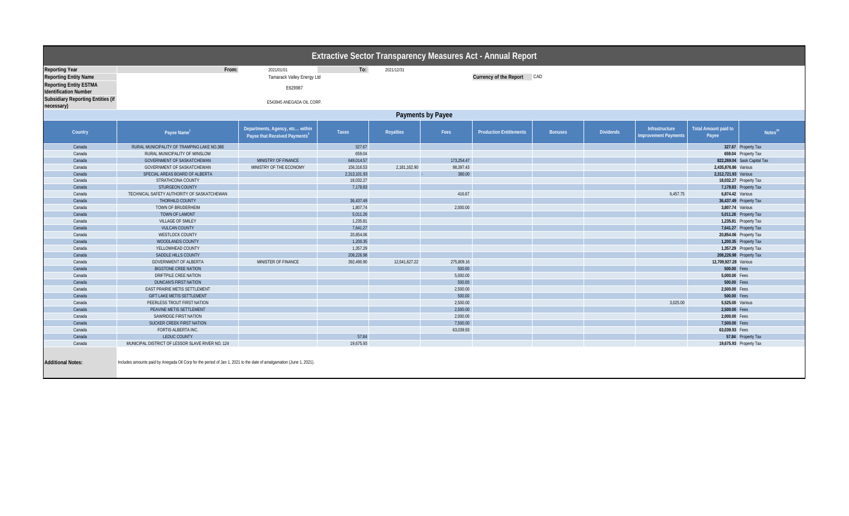|                                          |                                                                                                                     |                                                                              |              |                   |            | Extractive Sector Transparency Measures Act - Annual Report |                |                  |                                       |                               |                             |  |
|------------------------------------------|---------------------------------------------------------------------------------------------------------------------|------------------------------------------------------------------------------|--------------|-------------------|------------|-------------------------------------------------------------|----------------|------------------|---------------------------------------|-------------------------------|-----------------------------|--|
| <b>Reporting Year</b>                    | From:                                                                                                               | 2021/01/01                                                                   | To:          | 2021/12/31        |            |                                                             |                |                  |                                       |                               |                             |  |
| <b>Reporting Entity Name</b>             |                                                                                                                     | Tamarack Valley Energy Ltd                                                   |              |                   |            | Currency of the Report CAD                                  |                |                  |                                       |                               |                             |  |
| <b>Reporting Entity ESTMA</b>            |                                                                                                                     |                                                                              |              |                   |            |                                                             |                |                  |                                       |                               |                             |  |
| <b>Identification Number</b>             |                                                                                                                     | E629987                                                                      |              |                   |            |                                                             |                |                  |                                       |                               |                             |  |
| <b>Subsidiary Reporting Entities (if</b> |                                                                                                                     |                                                                              |              |                   |            |                                                             |                |                  |                                       |                               |                             |  |
| necessary)                               | E543945 ANEGADA OIL CORP.                                                                                           |                                                                              |              |                   |            |                                                             |                |                  |                                       |                               |                             |  |
|                                          |                                                                                                                     |                                                                              |              | Payments by Payee |            |                                                             |                |                  |                                       |                               |                             |  |
|                                          |                                                                                                                     |                                                                              |              |                   |            |                                                             |                |                  |                                       |                               |                             |  |
| Country                                  | Payee Name <sup>1</sup>                                                                                             | Departments, Agency, etc within<br>Payee that Received Payments <sup>2</sup> | Taxes        | Royalties         | Fees       | <b>Production Entitlements</b>                              | <b>Bonuses</b> | <b>Dividends</b> | Infrastructure<br>mprovement Payments | Total Amount paid to<br>Payee | Notes <sup>34</sup>         |  |
| Canada                                   | RURAL MUNICIPALITY OF TRAMPING LAKE NO.380                                                                          |                                                                              | 327.67       |                   |            |                                                             |                |                  |                                       |                               | 327.67 Property Tax         |  |
| Canada                                   | RURAL MUNICIPALITY OF WINSLOW                                                                                       |                                                                              | 659.04       |                   |            |                                                             |                |                  |                                       |                               | 659.04 Property Tax         |  |
| Canada                                   | GOVERNMENT OF SASKATCHEWAN                                                                                          | MINISTRY OF FINANCE                                                          | 649,014.57   |                   | 173,254.47 |                                                             |                |                  |                                       |                               | 822,269.04 Sask Capital Tax |  |
| Canada                                   | GOVERNMENT OF SASKATCHEWAN                                                                                          | MINISTRY OF THE ECONOMY                                                      | 156,316.53   | 2,181,162.90      | 98,397.43  |                                                             |                |                  |                                       | 2,435,876.86 Various          |                             |  |
| Canada                                   | SPECIAL AREAS BOARD OF ALBERTA                                                                                      |                                                                              | 2,313,101.93 |                   | 380.00     |                                                             |                |                  |                                       | 2,312,721.93 Various          |                             |  |
| Canada                                   | STRATHCONA COUNTY                                                                                                   |                                                                              | 18,032.27    |                   |            |                                                             |                |                  |                                       |                               | 18,032.27 Property Tax      |  |
| Canada                                   | <b>STURGEON COUNTY</b>                                                                                              |                                                                              | 7,178.83     |                   |            |                                                             |                |                  |                                       |                               | 7,178.83 Property Tax       |  |
| Canada                                   | TECHNICAL SAFETY AUTHORITY OF SASKATCHEWAN                                                                          |                                                                              |              |                   | 416.67     |                                                             |                |                  | 6,457.75                              | 6,874.42 Various              |                             |  |
| Canada                                   | THORHILD COUNTY                                                                                                     |                                                                              | 36,437.49    |                   |            |                                                             |                |                  |                                       | 36,437.49 Property Tax        |                             |  |
| Canada                                   | TOWN OF BRUDERHEIM                                                                                                  |                                                                              | 1,807.74     |                   | 2,000.00   |                                                             |                |                  |                                       | 3,807.74 Various              |                             |  |
| Canada                                   | TOWN OF LAMONT                                                                                                      |                                                                              | 5,011.26     |                   |            |                                                             |                |                  |                                       |                               | 5,011.26 Property Tax       |  |
| Canada                                   | VILLAGE OF SMILEY                                                                                                   |                                                                              | 1,235.81     |                   |            |                                                             |                |                  |                                       |                               | 1,235.81 Property Tax       |  |
| Canada                                   | <b>VULCAN COUNTY</b>                                                                                                |                                                                              | 7,641.27     |                   |            |                                                             |                |                  |                                       |                               | 7,641.27 Property Tax       |  |
| Canada                                   | <b>WESTLOCK COUNTY</b>                                                                                              |                                                                              | 20,854.06    |                   |            |                                                             |                |                  |                                       |                               | 20,854.06 Property Tax      |  |
| Canada                                   | WOODLANDS COUNTY                                                                                                    |                                                                              | 1,200.35     |                   |            |                                                             |                |                  |                                       |                               | 1,200.35 Property Tax       |  |
| Canada                                   | YELLOWHEAD COUNTY                                                                                                   |                                                                              | 1,357.29     |                   |            |                                                             |                |                  |                                       |                               | 1,357.29 Property Tax       |  |
| Canada                                   | SADDLE HILLS COUNTY                                                                                                 |                                                                              | 208,226.98   |                   |            |                                                             |                |                  |                                       |                               | 208,226.98 Property Tax     |  |
| Canada                                   | <b>GOVERNMENT OF ALBERTA</b>                                                                                        | MINISTER OF FINANCE                                                          | 392,490.90   | 12,041,627.22     | 275,809.16 |                                                             |                |                  |                                       | 12,709,927.28 Various         |                             |  |
| Canada                                   | <b>BIGSTONE CREE NATION</b>                                                                                         |                                                                              |              |                   | 500.00     |                                                             |                |                  |                                       | 500.00 Fees                   |                             |  |
| Canada                                   | DRIFTPILE CREE NATION                                                                                               |                                                                              |              |                   | 5,000.00   |                                                             |                |                  |                                       | 5,000.00 Fees                 |                             |  |
| Canada                                   | <b>DUNCAN'S FIRST NATION</b>                                                                                        |                                                                              |              |                   | 500.00     |                                                             |                |                  |                                       | 500.00 Fees                   |                             |  |
| Canada                                   | EAST PRAIRIE METIS SETTLEMENT                                                                                       |                                                                              |              |                   | 2,500.00   |                                                             |                |                  |                                       | 2,500.00 Fees                 |                             |  |
| Canada                                   | GIFT LAKE METIS SETTLEMENT                                                                                          |                                                                              |              |                   | 500.00     |                                                             |                |                  |                                       | 500.00 Fees                   |                             |  |
| Canada                                   | PEERLESS TROUT FIRST NATION                                                                                         |                                                                              |              |                   | 2,500.00   |                                                             |                |                  | 3,025.00                              | 5,525.00 Various              |                             |  |
| Canada                                   | PEAVINE METIS SETTLEMENT                                                                                            |                                                                              |              |                   | 2,500.00   |                                                             |                |                  |                                       | 2,500.00 Fees                 |                             |  |
| Canada                                   | SAWRIDGE FIRST NATION                                                                                               |                                                                              |              |                   | 2,000.00   |                                                             |                |                  |                                       | 2,000.00 Fees                 |                             |  |
| Canada                                   | <b>SUCKER CREEK FIRST NATION</b>                                                                                    |                                                                              |              |                   | 7,500.00   |                                                             |                |                  |                                       | 7,500.00 Fees                 |                             |  |
| Canada                                   | FORTIS ALBERTA INC.                                                                                                 |                                                                              |              |                   | 63,039.93  |                                                             |                |                  |                                       | 63,039.93 Fees                |                             |  |
| Canada                                   | LEDUC COUNTY                                                                                                        |                                                                              | 57.84        |                   |            |                                                             |                |                  |                                       |                               | 57.84 Property Tax          |  |
| Canada                                   | MUNICIPAL DISTRICT OF LESSOR SLAVE RIVER NO. 124                                                                    |                                                                              | 19,675.93    |                   |            |                                                             |                |                  |                                       |                               | 19,675.93 Property Tax      |  |
| <b>Additional Notes:</b>                 | Includes amounts paid by Anegada Oil Corp for the period of Jan 1, 2021 to the date of amalgamation (June 1, 2021). |                                                                              |              |                   |            |                                                             |                |                  |                                       |                               |                             |  |